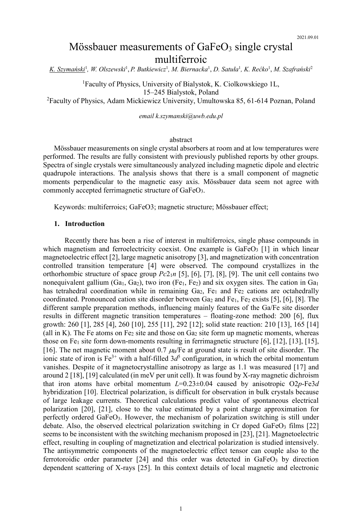# Mössbauer measurements of  $GaFeO<sub>3</sub>$  single crystal multiferroic

*K. Szymański*<sup>1</sup> *, W. Olszewski*<sup>1</sup> , *P. Butkiewicz*<sup>1</sup> *, M. Biernacka*<sup>1</sup> , *D. Satuła*<sup>1</sup> *, K. Rećko*<sup>1</sup> , *M. Szafrański*<sup>2</sup>

<sup>1</sup>Faculty of Physics, University of Bialystok, K. Ciolkowskiego 1L, 15–245 Bialystok, Poland

<sup>2</sup>Faculty of Physics, Adam Mickiewicz University, Umultowska 85, 61-614 Poznan, Poland

*email k.szymanski@uwb.edu.pl*

## <span id="page-0-13"></span><span id="page-0-12"></span><span id="page-0-10"></span><span id="page-0-9"></span><span id="page-0-6"></span><span id="page-0-3"></span><span id="page-0-2"></span><span id="page-0-1"></span><span id="page-0-0"></span>abstract

Mössbauer measurements on single crystal absorbers at room and at low temperatures were performed. The results are fully consistent with previously published reports by other groups. Spectra of single crystals were simultaneously analyzed including magnetic dipole and electric quadrupole interactions. The analysis shows that there is a small component of magnetic moments perpendicular to the magnetic easy axis. Mössbauer data seem not agree with commonly accepted ferrimagnetic structure of GaFeO3.

Keywords: multiferroics; GaFeO3; magnetic structure; Mössbauer effect;

## <span id="page-0-5"></span><span id="page-0-4"></span>**1. Introduction**

<span id="page-0-11"></span><span id="page-0-8"></span><span id="page-0-7"></span>Recently there has been a rise of interest in multiferroics, single phase compounds in which magnetism and ferroelectricity coexist. One example is  $GaFeO<sub>3</sub>$  [1] in which linear magnetoelectric effect [2], large magnetic anisotropy [3], and magnetization with concentration controlled transition temperature [4] were observed. The compound crystallizes in the orthorhombic structure of space group *Pc*21*n* [5], [6], [7], [8], [9]. The unit cell contains two nonequivalent gallium  $(Ga_1, Ga_2)$ , two iron  $(Fe_1, Fe_2)$  and six oxygen sites. The cation in  $Ga_1$ has tetrahedral coordination while in remaining  $Ga<sub>2</sub>$ ,  $Fe<sub>1</sub>$  and  $Fe<sub>2</sub>$  cations are octahedrally coordinated. Pronounced cation site disorder between  $Ga_2$  and  $Fe_1$ ,  $Fe_2$  exists [\[5\]](#page-0-0), [\[6\]](#page-0-1), [\[8\]](#page-0-2). The different sample preparation methods, influencing mainly features of the Ga/Fe site disorder results in different magnetic transition temperatures – floating-zone method: 200 [\[6\]](#page-0-1), flux growth: 260 [\[1\]](#page-0-3), 285 [\[4\]](#page-0-4), 260 [10], 255 [11], 292 [12]; solid state reaction: 210 [13], 165 [14] (all in K). The Fe atoms on Fe<sub>2</sub> site and those on  $Ga<sub>2</sub>$  site form up magnetic moments, whereas those on Fe<sub>1</sub> site form down-moments resulting in ferrimagnetic structure [\[6\]](#page-0-1), [\[12\]](#page-0-5), [\[13\]](#page-0-6), [15], [16]. The net magnetic moment about 0.7  $\mu_B$ /Fe at ground state is result of site disorder. The ionic state of iron is  $Fe^{3+}$  with a half-filled  $3d^5$  configuration, in which the orbital momentum vanishes. Despite of it magnetocrystalline anisotropy as large as 1.1 was measured [17] and around 2 [18], [19] calculated (in meV per unit cell). It was found by X-ray magnetic dichroism that iron atoms have orbital momentum *L*=0.23±0.04 caused by anisotropic O2*p*-Fe3*d* hybridization [\[10\]](#page-0-7). Electrical polarization, is difficult for observation in bulk crystals because of large leakage currents. Theoretical calculations predict value of spontaneous electrical polarization [20], [21], close to the value estimated by a point charge approximation for perfectly ordered GaFeO3. However, the mechanism of polarization switching is still under debate. Also, the observed electrical polarization switching in Cr doped GaFe $O_3$  films [22] seems to be inconsistent with the switching mechanism proposed in [23], [\[21\]](#page-0-8). Magnetoelectric effect, resulting in coupling of magnetization and electrical polarization is studied intensively. The antisymmetric components of the magnetoelectric effect tensor can couple also to the ferrotoroidic order parameter  $[24]$  and this order was detected in GaFeO<sub>3</sub> by direction dependent scattering of X-rays [25]. In this context details of local magnetic and electronic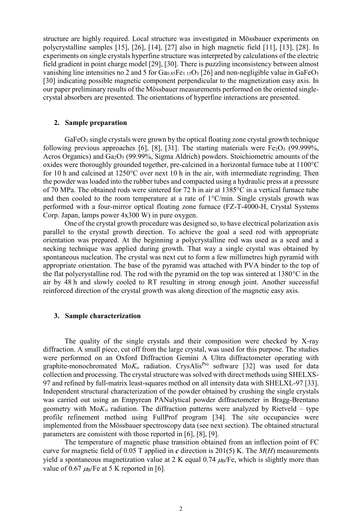<span id="page-1-2"></span><span id="page-1-1"></span><span id="page-1-0"></span>structure are highly required. Local structure was investigated in Mössbauer experiments on polycrystalline samples [\[15\]](#page-0-9), [26], [\[14\]](#page-0-10), [27] also in high magnetic field [\[11\]](#page-0-11), [\[13\]](#page-0-6), [28]. In experiments on single crystals hyperfine structure was interpreted by calculations of the electric field gradient in point charge model [29], [30]. There is puzzling inconsistency between almost vanishing line intensities no 2 and 5 for  $Ga_{0.85}Fe_{1.15}O_3$  [\[26\]](#page-1-0) and non-negligible value in  $GaFeO_3$ [\[30\]](#page-1-1) indicating possible magnetic component perpendicular to the magnetization easy axis. In our paper preliminary results of the Mössbauer measurements performed on the oriented singlecrystal absorbers are presented. The orientations of hyperfine interactions are presented.

# **2. Sample preparation**

GaFeO<sub>3</sub> single crystals were grown by the optical floating zone crystal growth technique following previous approaches [\[6\]](#page-0-1), [\[8\]](#page-0-2), [31]. The starting materials were  $Fe<sub>2</sub>O<sub>3</sub>$  (99.999%, Acros Organics) and  $Ga<sub>2</sub>O<sub>3</sub>$  (99.99%, Sigma Aldrich) powders. Stoichiometric amounts of the oxides were thoroughly grounded together, pre-calcined in a horizontal furnace tube at 1100°C for 10 h and calcined at 1250°C over next 10 h in the air, with intermediate regrinding. Then the powder was loaded into the rubber tubes and compacted using a hydraulic press at a pressure of 70 MPa. The obtained rods were sintered for 72 h in air at 1385°C in a vertical furnace tube and then cooled to the room temperature at a rate of 1°C/min. Single crystals growth was performed with a four-mirror optical floating zone furnace (FZ-T-4000-H, Crystal Systems Corp. Japan, lamps power 4x300 W) in pure oxygen.

One of the crystal growth procedure was designed so, to have electrical polarization axis parallel to the crystal growth direction. To achieve the goal a seed rod with appropriate orientation was prepared. At the beginning a polycrystalline rod was used as a seed and a necking technique was applied during growth. That way a single crystal was obtained by spontaneous nucleation. The crystal was next cut to form a few millimetres high pyramid with appropriate orientation. The base of the pyramid was attached with PVA binder to the top of the flat polycrystalline rod. The rod with the pyramid on the top was sintered at 1380°C in the air by 48 h and slowly cooled to RT resulting in strong enough joint. Another successful reinforced direction of the crystal growth was along direction of the magnetic easy axis.

# **3. Sample characterization**

The quality of the single crystals and their composition were checked by X-ray diffraction. A small piece, cut off from the large crystal, was used for this purpose. The studies were performed on an Oxford Diffraction Gemini A Ultra diffractometer operating with graphite-monochromated Mo*K<sub>α</sub>* radiation. CrysAlis<sup>Pro</sup> software [32] was used for data collection and processing. The crystal structure was solved with direct methods using SHELXS-97 and refined by full-matrix least-squares method on all intensity data with SHELXL-97 [33]. Independent structural characterization of the powder obtained by crushing the single crystals was carried out using an Empyrean PANalytical powder diffractometer in Bragg-Brentano geometry with  $M \circ K_{\alpha}$  radiation. The diffraction patterns were analyzed by Rietveld – type profile refinement method using FullProf program [34]. The site occupancies were implemented from the Mössbauer spectroscopy data (see next section). The obtained structural parameters are consistent with those reported in [\[6\]](#page-0-1), [\[8\]](#page-0-2), [\[9\]](#page-0-12).

The temperature of magnetic phase transition obtained from an inflection point of FC curve for magnetic field of 0.05 T applied in *c* direction is 201(5) K. The *M*(*H*) measurements yield a spontaneous magnetization value at 2 K equal 0.74  $\mu_B$ /Fe, which is slightly more than value of 0.67  $\mu$ <sub>B</sub>/Fe at 5 K reported in [\[6\]](#page-0-1).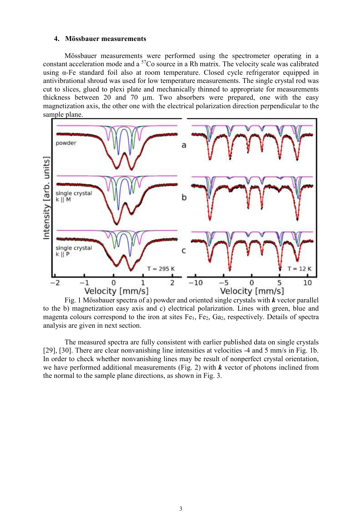### **4. Mössbauer measurements**

Mössbauer measurements were performed using the spectrometer operating in a constant acceleration mode and a <sup>57</sup>Co source in a Rh matrix. The velocity scale was calibrated using α-Fe standard foil also at room temperature. Closed cycle refrigerator equipped in antivibrational shroud was used for low temperature measurements. The single crystal rod was cut to slices, glued to plexi plate and mechanically thinned to appropriate for measurements thickness between 20 and 70 µm. Two absorbers were prepared, one with the easy magnetization axis, the other one with the electrical polarization direction perpendicular to the sample plane.



Fig. 1 Mössbauer spectra of a) powder and oriented single crystals with *k* vector parallel to the b) magnetization easy axis and c) electrical polarization. Lines with green, blue and magenta colours correspond to the iron at sites Fe<sub>1</sub>, Fe<sub>2</sub>, Ga<sub>2</sub>, respectively. Details of spectra analysis are given in next section.

The measured spectra are fully consistent with earlier published data on single crystals [\[29\]](#page-1-2), [\[30\]](#page-1-1). There are clear nonvanishing line intensities at velocities -4 and 5 mm/s in Fig. 1b. In order to check whether nonvanishing lines may be result of nonperfect crystal orientation, we have performed additional measurements (Fig. 2) with *k* vector of photons inclined from the normal to the sample plane directions, as shown in Fig. 3.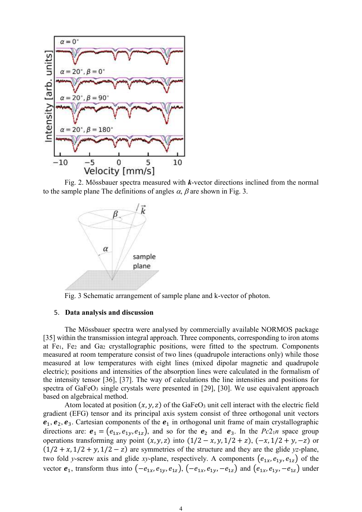

Fig. 2. Mössbauer spectra measured with *k*-vector directions inclined from the normal to the sample plane The definitions of angles  $\alpha$ ,  $\beta$  are shown in Fig. 3.



Fig. 3 Schematic arrangement of sample plane and k-vector of photon.

# 5. **Data analysis and discussion**

The Mössbauer spectra were analysed by commercially available NORMOS package [35] within the transmission integral approach. Three components, corresponding to iron atoms at  $Fe<sub>1</sub>$ ,  $Fe<sub>2</sub>$  and  $Ga<sub>2</sub>$  crystallographic positions, were fitted to the spectrum. Components measured at room temperature consist of two lines (quadrupole interactions only) while those measured at low temperatures with eight lines (mixed dipolar magnetic and quadrupole electric); positions and intensities of the absorption lines were calculated in the formalism of the intensity tensor [36], [37]. The way of calculations the line intensities and positions for spectra of  $GaFeO<sub>3</sub>$  single crystals were presented in [\[29\]](#page-1-2), [\[30\]](#page-1-1). We use equivalent approach based on algebraical method.

Atom located at position  $(x, y, z)$  of the GaFeO<sub>3</sub> unit cell interact with the electric field gradient (EFG) tensor and its principal axis system consist of three orthogonal unit vectors  $e_1, e_2, e_3$ . Cartesian components of the  $e_1$  in orthogonal unit frame of main crystallographic directions are:  $e_1 = (e_{1x}, e_{1y}, e_{1z})$ , and so for the  $e_2$  and  $e_3$ . In the *Pc*2<sub>1</sub>*n* space group operations transforming any point  $(x, y, z)$  into  $(1/2 - x, y, 1/2 + z)$ ,  $(-x, 1/2 + y, -z)$  or  $(1/2 + x, 1/2 + y, 1/2 - z)$  are symmetries of the structure and they are the glide *yz*-plane, two fold *y*-screw axis and glide *xy*-plane, respectively. A components  $(e_{1x}, e_{1y}, e_{1z})$  of the vector  $e_1$ , transform thus into  $(-e_{1x}, e_{1y}, e_{1z})$ ,  $(-e_{1x}, e_{1y}, -e_{1z})$  and  $(e_{1x}, e_{1y}, -e_{1z})$  under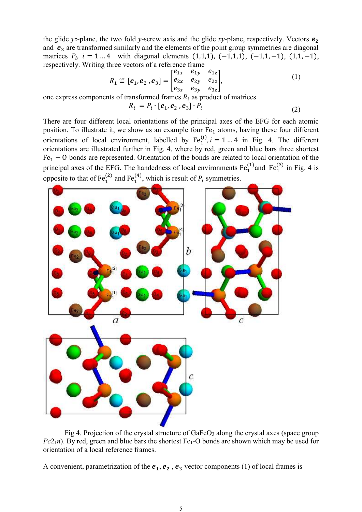the glide *yz*-plane, the two fold *y*-screw axis and the glide *xy*-plane, respectively. Vectors  $e_2$ and  $e_3$  are transformed similarly and the elements of the point group symmetries are diagonal matrices  $P_i$ ,  $i = 1 ... 4$  with diagonal elements  $(1,1,1)$ ,  $(-1,1,1)$ ,  $(-1,1,-1)$ ,  $(1,1,-1)$ , respectively. Writing three vectors of a reference frame

$$
R_1 \stackrel{\text{def}}{=} [\mathbf{e}_1, \mathbf{e}_2, \mathbf{e}_3] = \begin{bmatrix} e_{1x} & e_{1y} & e_{1z} \\ e_{2x} & e_{2y} & e_{2z} \\ e_{3x} & e_{3y} & e_{3z} \end{bmatrix},
$$
(1)

one express components of transformed frames  $R_i$  as product of matrices

<span id="page-4-0"></span>
$$
R_i = P_i \cdot [e_1, e_2, e_3] \cdot P_i \tag{2}
$$

There are four different local orientations of the principal axes of the EFG for each atomic position. To illustrate it, we show as an example four  $Fe<sub>1</sub>$  atoms, having these four different orientations of local environment, labelled by  $Fe_1^{(i)}$ ,  $i = 1 ... 4$  in Fig. 4. The different orientations are illustrated further in Fig. 4, where by red, green and blue bars three shortest  $Fe<sub>1</sub> - 0$  bonds are represented. Orientation of the bonds are related to local orientation of the principal axes of the EFG. The handedness of local environments  $Fe_1^{(1)}$  and  $Fe_1^{(3)}$  in Fig. 4 is opposite to that of  $Fe_1^{(2)}$  and  $Fe_1^{(4)}$ , which is result of  $P_i$  symmetries.



Fig 4. Projection of the crystal structure of  $GaFeO<sub>3</sub>$  along the crystal axes (space group  $Pc2<sub>1</sub>n$ ). By red, green and blue bars the shortest Fe<sub>1</sub>-O bonds are shown which may be used for orientation of a local reference frames.

A convenient, parametrization of the  $e_1, e_2, e_3$  vector components [\(1\)](#page-4-0) of local frames is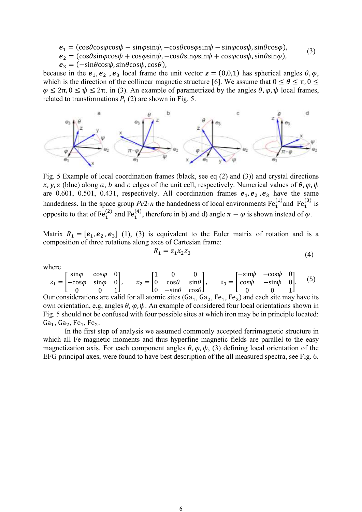<span id="page-5-0"></span> $e_1 = (\cos\theta \cos\varphi \cos\psi - \sin\varphi \sin\psi, -\cos\theta \cos\varphi \sin\psi - \sin\varphi \cos\psi, \sin\theta \cos\varphi),$ (3)

 $e_2 = (cos\theta sin\varphi cos\psi + cos\varphi sin\psi, -cos\theta sin\varphi sin\psi + cos\varphi cos\psi, sin\theta sin\varphi),$ 

 $\mathbf{e}_3 = (-\sin\theta\cos\psi, \sin\theta\cos\psi, \cos\theta),$ 

because in the  $e_1, e_2, e_3$  local frame the unit vector  $z = (0,0,1)$  has spherical angles  $\theta, \varphi$ , which is the direction of the collinear magnetic structure [\[6\]](#page-0-1). We assume that  $0 \le \theta \le \pi$ ,  $0 \le$  $\varphi \leq 2\pi$ ,  $0 \leq \psi \leq 2\pi$ . in [\(3\)](#page-5-0). An example of parametrized by the angles  $\theta$ ,  $\varphi$ ,  $\psi$  local frames, related to transformations  $P_i$  (2) are shown in Fig. 5.



Fig. 5 Example of local coordination frames (black, see eq (2) and [\(3\)\)](#page-5-0) and crystal directions x, y, z (blue) along a, b and c edges of the unit cell, respectively. Numerical values of  $\theta$ ,  $\varphi$ ,  $\psi$ are 0.601, 0.501, 0.431, respectively. All coordination frames  $e_1, e_2, e_3$  have the same handedness. In the space group  $Pc2_1n$  the handedness of local environments  $Fe_1^{(1)}$  and  $Fe_1^{(3)}$  is opposite to that of Fe<sub>1</sub><sup>(2)</sup> and Fe<sub>1</sub><sup>(4)</sup>, therefore in b) and d) angle  $\pi - \varphi$  is shown instead of  $\varphi$ .

Matrix  $R_1 = [e_1, e_2, e_3]$  (1), (3) is equivalent to the Euler matrix of rotation and is a composition of three rotations along axes of Cartesian frame:

$$
R_1 = z_1 x_2 z_3 \tag{4}
$$

where

 $z_1 = |$  $\sin\varphi$  cos $\varphi$  0  $-cos\varphi$  sin $\varphi$  0 0 0 1  $\vert x_2 = \vert$ 1 0 0 0  $cos\theta$   $sin\theta$ 0  $-\sin\theta$  cos $\theta$ |,  $z_3 =$ |  $-\sin\psi$  −cos $\psi$  0  $cos\psi$  −sin $\psi$  0 0 0 1  $\left| . \right|$  (5)

Our considerations are valid for all atomic sites  $(Ga_1, Ga_2, Fe_1, Fe_2)$  and each site may have its own orientation, e.g, angles  $\theta$ ,  $\varphi$ ,  $\psi$ . An example of considered four local orientations shown in Fig. 5 should not be confused with four possible sites at which iron may be in principle located:  $Ga_1, Ga_2, Fe_1, Fe_2.$ 

In the first step of analysis we assumed commonly accepted ferrimagnetic structure in which all Fe magnetic moments and thus hyperfine magnetic fields are parallel to the easy magnetization axis. For each component angles  $\theta$ ,  $\varphi$ ,  $\psi$ , (3) defining local orientation of the EFG principal axes, were found to have best description of the all measured spectra, see Fig. 6.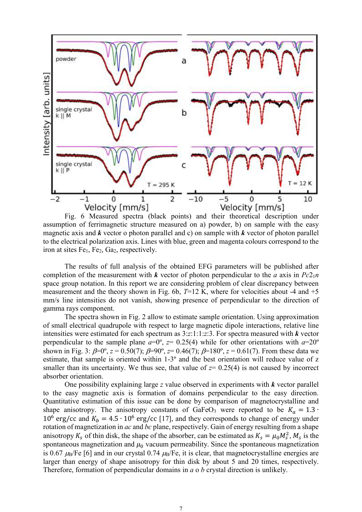

Fig. 6 Measured spectra (black points) and their theoretical description under assumption of ferrimagnetic structure measured on a) powder, b) on sample with the easy magnetic axis and *k* vector o photon parallel and c) on sample with *k* vector of photon parallel to the electrical polarization axis. Lines with blue, green and magenta colours correspond to the iron at sites  $Fe<sub>1</sub>$ ,  $Fe<sub>2</sub>$ ,  $Ga<sub>2</sub>$ , respectively.

The results of full analysis of the obtained EFG parameters will be published after completion of the measurement with  $k$  vector of photon perpendicular to the *a* axis in  $Pc2<sub>1</sub>n$ space group notation. In this report we are considering problem of clear discrepancy between measurement and the theory shown in Fig. 6b,  $T=12$  K, where for velocities about -4 and  $+5$ mm/s line intensities do not vanish, showing presence of perpendicular to the direction of gamma rays component.

The spectra shown in Fig. 2 allow to estimate sample orientation. Using approximation of small electrical quadrupole with respect to large magnetic dipole interactions, relative line intensities were estimated for each spectrum as 3:*z*:1:1:*z*:3. For spectra measured with *k* vector perpendicular to the sample plane  $a=0^{\circ}$ ,  $z=0.25(4)$  while for other orientations with  $a=20^{\circ}$ shown in Fig. 3:  $\beta=0^\circ$ ,  $z=0.50(7)$ ;  $\beta=90^\circ$ ,  $z=0.46(7)$ ;  $\beta=180^\circ$ ,  $z=0.61(7)$ . From these data we estimate, that sample is oriented within 1-3º and the best orientation will reduce value of z smaller than its uncertainty. We thus see, that value of  $z=0.25(4)$  is not caused by incorrect absorber orientation.

One possibility explaining large *z* value observed in experiments with *k* vector parallel to the easy magnetic axis is formation of domains perpendicular to the easy direction. Quantitative estimation of this issue can be done by comparison of magnetocrystalline and shape anisotropy. The anisotropy constants of GaFeO<sub>3</sub> were reported to be  $K_q = 1.3 \cdot$ 10<sup>6</sup> erg/cc and  $K_b = 4.5 \cdot 10^6$  erg/cc [\[17\]](#page-0-13), and they corresponds to change of energy under rotation of magnetization in *ac* and *bc* plane, respectively. Gain of energy resulting from a shape anisotropy  $K_s$  of thin disk, the shape of the absorber, can be estimated as  $K_s = \mu_0 M_s^2$ ,  $M_s$  is the spontaneous magnetization and  $\mu_0$  vacuum permeability. Since the spontaneous magnetization is 0.67  $\mu$ <sub>B</sub>/Fe [\[6\]](#page-0-1) and in our crystal 0.74  $\mu$ <sub>B</sub>/Fe, it is clear, that magnetocrystalline energies are larger than energy of shape anisotropy for thin disk by about 5 and 20 times, respectively. Therefore, formation of perpendicular domains in *a* o *b* crystal direction is unlikely.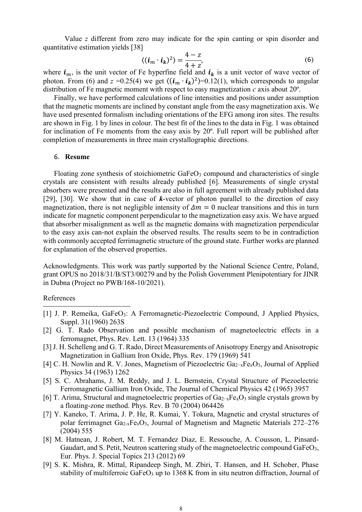Value *z* different from zero may indicate for the spin canting or spin disorder and quantitative estimation yields [38]

$$
\langle (\boldsymbol{i}_m \cdot \boldsymbol{i}_k)^2 \rangle = \frac{4-z}{4+z'},\tag{6}
$$

where  $i_m$ , is the unit vector of Fe hyperfine field and  $i_k$  is a unit vector of wave vector of photon. From (6) and  $z = 0.25(4)$  we get  $\langle (i_m \cdot i_k)^2 \rangle = 0.12(1)$ , which corresponds to angular distribution of Fe magnetic moment with respect to easy magnetization *c* axis about 20º.

Finally, we have performed calculations of line intensities and positions under assumption that the magnetic moments are inclined by constant angle from the easy magnetization axis. We have used presented formalism including orientations of the EFG among iron sites. The results are shown in Fig. 1 by lines in colour. The best fit of the lines to the data in Fig. 1 was obtained for inclination of Fe moments from the easy axis by 20º. Full report will be published after completion of measurements in three main crystallographic directions.

# 6. **Resume**

Floating zone synthesis of stoichiometric GaFeO<sub>3</sub> compound and characteristics of single crystals are consistent with results already published [\[6\]](#page-0-1). Measurements of single crystal absorbers were presented and the results are also in full agreement with already published data [\[29\]](#page-1-2), [\[30\]](#page-1-1). We show that in case of *k*-vector of photon parallel to the direction of easy magnetization, there is not negligible intensity of  $\Delta m = 0$  nuclear transitions and this in turn indicate for magnetic component perpendicular to the magnetization easy axis. We have argued that absorber misalignment as well as the magnetic domains with magnetization perpendicular to the easy axis can-not explain the observed results. The results seem to be in contradiction with commonly accepted ferrimagnetic structure of the ground state. Further works are planned for explanation of the observed properties.

Acknowledgments. This work was partly supported by the National Science Centre, Poland, grant OPUS no 2018/31/B/ST3/00279 and by the Polish Government Plenipotentiary for JINR in Dubna (Project no PWB/168-10/2021).

#### References

 $\overline{a}$ 

- [1] J. P. Remeika, GaFeO<sub>3</sub>: A Ferromagnetic-Piezoelectric Compound, J Applied Physics, Suppl. 31(1960) 263S
- [2] G. T. Rado Observation and possible mechanism of magnetoelectric effects in a ferromagnet, Phys. Rev. Lett. 13 (1964) 335
- [3] J. H. Schelleng and G. T. Rado, Direct Measurements of Anisotropy Energy and Anisotropic Magnetization in Gallium Iron Oxide, Phys. Rev. 179 (1969) 541
- [4] C. H. Nowlin and R. V. Jones, Magnetism of Piezoelectric Ga<sub>2−x</sub>Fe<sub>x</sub>O<sub>3</sub>, Journal of Applied Physics 34 (1963) 1262
- [5] S. C. Abrahams, J. M. Reddy, and J. L. Bernstein, Crystal Structure of Piezoelectric Ferromagnetic Gallium Iron Oxide, The Journal of Chemical Physics 42 (1965) 3957
- [6] T. Arima, Structural and magnetoelectric properties of  $Ga_{2-x}Fe_{x}O_3$  single crystals grown by a floating-zone method. Phys. Rev. B 70 (2004) 064426
- [7] Y. Kaneko, T. Arima, J. P. He, R. Kumai, Y. Tokura, Magnetic and crystal structures of polar ferrimagnet  $Ga_{2-x}Fe_{x}O_{3}$ , Journal of Magnetism and Magnetic Materials 272–276 (2004) 555
- [8] M. Hatnean, J. Robert, M. T. Fernandez Diaz, E. Ressouche, A. Cousson, L. Pinsard-Gaudart, and S. Petit, Neutron scattering study of the magnetoelectric compound GaFeO<sub>3</sub>, Eur. Phys. J. Special Topics 213 (2012) 69
- [9] S. K. Mishra, R. Mittal, Ripandeep Singh, M. Zbiri, T. Hansen, and H. Schober, Phase stability of multiferroic GaFe $O_3$  up to 1368 K from in situ neutron diffraction, Journal of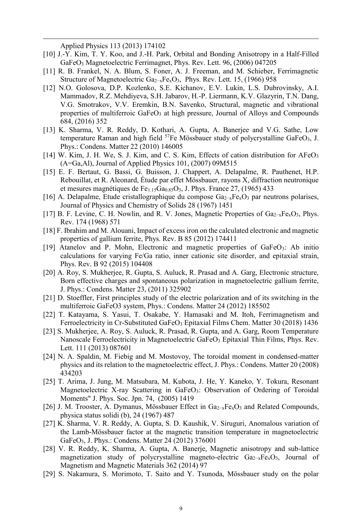Applied Physics 113 (2013) 174102

 $\overline{\phantom{a}}$ 

- [10] J.-Y. Kim, T. Y. Koo, and J.-H. Park, Orbital and Bonding Anisotropy in a Half-Filled GaFeO<sup>3</sup> Magnetoelectric Ferrimagnet, Phys. Rev. Lett. 96, (2006) 047205
- [11] R. B. Frankel, N. A. Blum, S. Foner, A. J. Freeman, and M. Schieber, Ferrimagnetic Structure of Magnetoelectric Ga<sub>2−x</sub>Fe<sub>x</sub>O<sub>3</sub>, Phys. Rev. Lett. 15, (1966) 958
- [12] N.O. Golosova, D.P. Kozlenko, S.E. Kichanov, E.V. Lukin, L.S. Dubrovinsky, A.I. Mammadov, R.Z. Mehdiyeva, S.H. Jabarov, H.-P. Liermann, K.V. Glazyrin, T.N. Dang, V.G. Smotrakov, V.V. Eremkin, B.N. Savenko, Structural, magnetic and vibrational properties of multiferroic GaFeO<sub>3</sub> at high pressure, Journal of Alloys and Compounds 684, (2016) 352
- [13] K. Sharma, V. R. Reddy, D. Kothari, A. Gupta, A. Banerjee and V.G. Sathe, Low temperature Raman and high field  $57Fe$  Mössbauer study of polycrystalline GaFeO<sub>3</sub>, J. Phys.: Condens. Matter 22 (2010) 146005
- [14] W. Kim, J. H. We, S. J. Kim, and C. S. Kim, Effects of cation distribution for AFeO<sub>3</sub> (A=Ga,Al), Journal of Applied Physics 101, (2007) 09M515
- [15] E. F. Bertaut, G. Bassi, G. Buisson, J. Chappert, A. Delapalme, R. Pauthenet, H.P. Rebouillat, et R. Aleonard, Étude par effet Mössbauer, rayons X, diffraction neutronique et mesures magnétiques de Fe $_{1.15}Ga_{0.85}O_3$ , J. Phys. France 27, (1965) 433
- [16] A. Delapalme, Etude cristallographique du compose Ga2−xFexO<sup>3</sup> par neutrons polarises, Journal of Physics and Chemistry of Solids 28 (1967) 1451
- [17] B. F. Levine, C. H. Nowlin, and R. V. Jones, Magnetic Properties of Ga<sub>2−x</sub>Fe<sub>x</sub>O<sub>3</sub>, Phys. Rev. 174 (1968) 571
- [18] F. Ibrahim and M. Alouani, Impact of excess iron on the calculated electronic and magnetic properties of gallium ferrite, Phys. Rev. B 85 (2012) 174411
- [19] Atanelov and P. Mohn, Electronic and magnetic properties of GaFeO3: Ab initio calculations for varying Fe/Ga ratio, inner cationic site disorder, and epitaxial strain, Phys. Rev. B 92 (2015) 104408
- [20] A. Roy, S. Mukherjee, R. Gupta, S. Auluck, R. Prasad and A. Garg, Electronic structure, Born effective charges and spontaneous polarization in magnetoelectric gallium ferrite, J. Phys.: Condens. Matter 23, (2011) 325902
- [21] D. Stoeffler, First principles study of the electric polarization and of its switching in the multiferroic GaFeO3 system, Phys.: Condens. Matter 24 (2012) 185502
- [22] T. Katayama, S. Yasui, T. Osakabe, Y. Hamasaki and M. Itoh, Ferrimagnetism and Ferroelectricity in Cr-Substituted GaFeO<sub>3</sub> Epitaxial Films Chem. Matter 30 (2018) 1436
- [23] S. Mukherjee, A. Roy, S. Auluck, R. Prasad, R. Gupta, and A. Garg, Room Temperature Nanoscale Ferroelectricity in Magnetoelectric GaFeO<sub>3</sub> Epitaxial Thin Films, Phys. Rev. Lett. 111 (2013) 087601
- [24] N. A. Spaldin, M. Fiebig and M. Mostovoy, The toroidal moment in condensed-matter physics and its relation to the magnetoelectric effect, J. Phys.: Condens. Matter 20 (2008) 434203
- [25] T. Arima, J. Jung, M. Matsubara, M. Kubota, J. He, Y. Kaneko, Y. Tokura, Resonant Magnetoelectric X-ray Scattering in GaFeO3: Observation of Ordering of Toroidal Moments" J. Phys. Soc. Jpn. 74, (2005) 1419
- [26] J. M. Trooster, A. Dymanus, Mössbauer Effect in Ga<sub>2−x</sub>Fe<sub>x</sub>O<sub>3</sub> and Related Compounds, physica status solidi (b), 24 (1967) 487
- [27] K. Sharma, V. R. Reddy, A. Gupta, S. D. Kaushik, V. Siruguri, Anomalous variation of the Lamb-Mössbauer factor at the magnetic transition temperature in magnetoelectric GaFeO3, J. Phys.: Condens. Matter 24 (2012) 376001
- [28] V. R. Reddy, K. Sharma, A. Gupta, A. Banerje, Magnetic anisotropy and sub-lattice magnetization study of polycrystalline magneto-electric Ga2−xFexO3, Journal of Magnetism and Magnetic Materials 362 (2014) 97
- [29] S. Nakamura, S. Morimoto, T. Saito and Y. Tsunoda, Mössbauer study on the polar